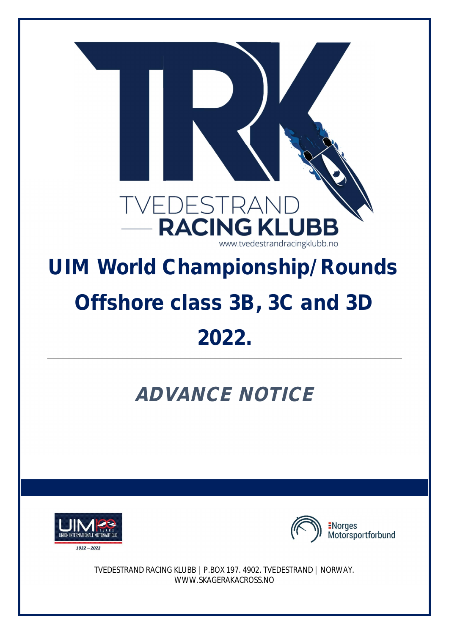

## **UIM World Championship/Rounds Offshore class 3B, 3C and 3D 2022.**

## **ADVANCE NOTICE**





TVEDESTRAND RACING KLUBB | P.BOX 197. 4902. TVEDESTRAND | NORWAY. WWW.SKAGERAKACROSS.NO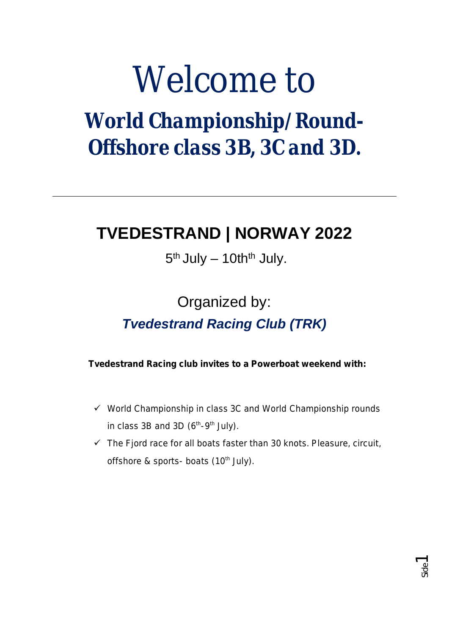# Welcome to

*World Championship/Round-Offshore class 3B, 3C and 3D.*

## **TVEDESTRAND | NORWAY 2022**

### $5<sup>th</sup>$  July  $-$  10th<sup>th</sup> July.

## Organized by: *Tvedestrand Racing Club (TRK)*

**Tvedestrand Racing club invites to a Powerboat weekend with:**

- $\checkmark$  World Championship in class 3C and World Championship rounds in class 3B and 3D  $(6<sup>th</sup>-9<sup>th</sup>$  July).
- $\checkmark$  The Fjord race for all boats faster than 30 knots. Pleasure, circuit, offshore & sports- boats (10<sup>th</sup> July).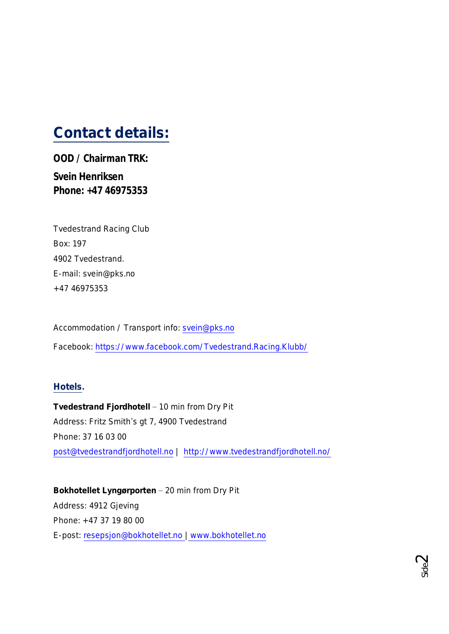## **Contact details:**

**OOD / Chairman TRK: Svein Henriksen Phone: +47 46975353**

| <b>Tvedestrand Racing Club</b> |  |  |
|--------------------------------|--|--|
| Box: 197                       |  |  |
| 4902 Tvedestrand.              |  |  |
| E-mail: svein@pks.no           |  |  |
| +47 46975353                   |  |  |

Accommodation / Transport info: svein@pks.no

Facebook: https://www.facebook.com/Tvedestrand.Racing.Klubb/

#### **Hotels.**

**Tvedestrand Fjordhotell** ‒ 10 min from Dry Pit Address: Fritz Smith's gt 7, 4900 Tvedestrand Phone: 37 16 03 00 post@tvedestrandfjordhotell.no | http://www.tvedestrandfjordhotell.no/

**Bokhotellet Lyngørporten** ‒ 20 min from Dry Pit Address: 4912 Gjeving Phone: +47 37 19 80 00 E-post: resepsjon@bokhotellet.no | www.bokhotellet.no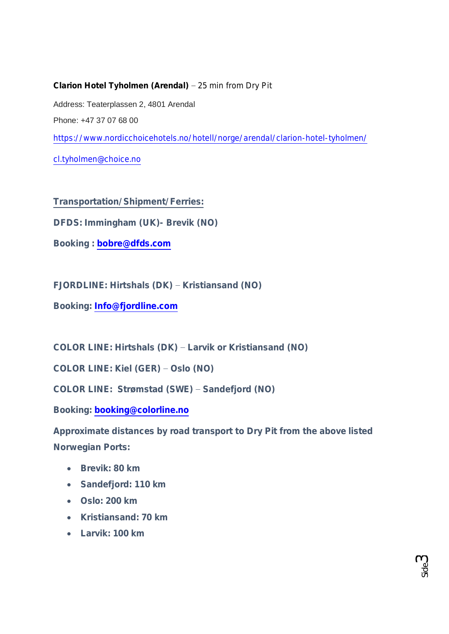**Clarion Hotel Tyholmen (Arendal)** ‒ 25 min from Dry Pit Address: Teaterplassen 2, 4801 Arendal Phone: +47 37 07 68 00 https://www.nordicchoicehotels.no/hotell/norge/arendal/clarion-hotel-tyholmen/ cl.tyholmen@choice.no

**Transportation/Shipment/Ferries:**

**DFDS: Immingham (UK)- Brevik (NO)**

**Booking : bobre@dfds.com**

**FJORDLINE: Hirtshals (DK) ‒ Kristiansand (NO)**

**Booking: Info@fjordline.com**

**COLOR LINE: Hirtshals (DK) ‒ Larvik or Kristiansand (NO)**

**COLOR LINE: Kiel (GER) ‒ Oslo (NO)**

**COLOR LINE: Strømstad (SWE) ‒ Sandefjord (NO)**

**Booking: booking@colorline.no**

**Approximate distances by road transport to Dry Pit from the above listed Norwegian Ports:**

- · **Brevik: 80 km**
- · **Sandefjord: 110 km**
- · **Oslo: 200 km**
- · **Kristiansand: 70 km**
- · **Larvik: 100 km**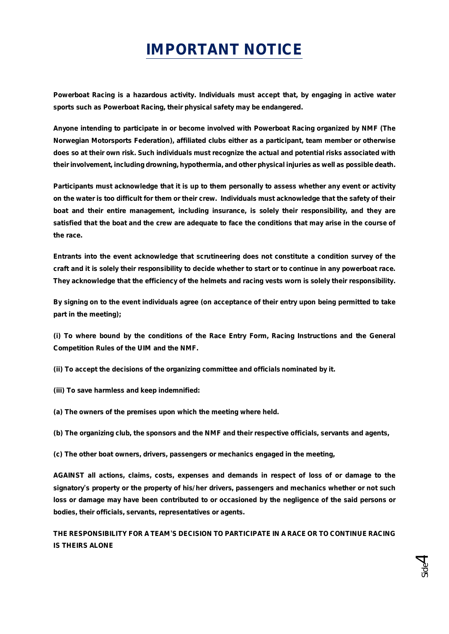## **IMPORTANT NOTICE**

**Powerboat Racing is a hazardous activity. Individuals must accept that, by engaging in active water sports such as Powerboat Racing, their physical safety may be endangered.**

**Anyone intending to participate in or become involved with Powerboat Racing organized by NMF (The Norwegian Motorsports Federation), affiliated clubs either as a participant, team member or otherwise does so at their own risk. Such individuals must recognize the actual and potential risks associated with their involvement, including drowning, hypothermia, and other physical injuries as well as possible death.**

**Participants must acknowledge that it is up to them personally to assess whether any event or activity on the water is too difficult for them or their crew. Individuals must acknowledge that the safety of their boat and their entire management, including insurance, is solely their responsibility, and they are satisfied that the boat and the crew are adequate to face the conditions that may arise in the course of the race.**

**Entrants into the event acknowledge that scrutineering does not constitute a condition survey of the craft and it is solely their responsibility to decide whether to start or to continue in any powerboat race. They acknowledge that the efficiency of the helmets and racing vests worn is solely their responsibility.**

**By signing on to the event individuals agree (on acceptance of their entry upon being permitted to take part in the meeting);**

**(i) To where bound by the conditions of the Race Entry Form, Racing Instructions and the General Competition Rules of the UIM and the NMF.**

**(ii) To accept the decisions of the organizing committee and officials nominated by it.**

**(iii) To save harmless and keep indemnified:**

**(a) The owners of the premises upon which the meeting where held.**

**(b) The organizing club, the sponsors and the NMF and their respective officials, servants and agents,**

**(c) The other boat owners, drivers, passengers or mechanics engaged in the meeting,**

**AGAINST all actions, claims, costs, expenses and demands in respect of loss of or damage to the signatory's property or the property of his/her drivers, passengers and mechanics whether or not such loss or damage may have been contributed to or occasioned by the negligence of the said persons or bodies, their officials, servants, representatives or agents.**

**THE RESPONSIBILITY FOR A TEAM'S DECISION TO PARTICIPATE IN A RACE OR TO CONTINUE RACING IS THEIRS ALONE**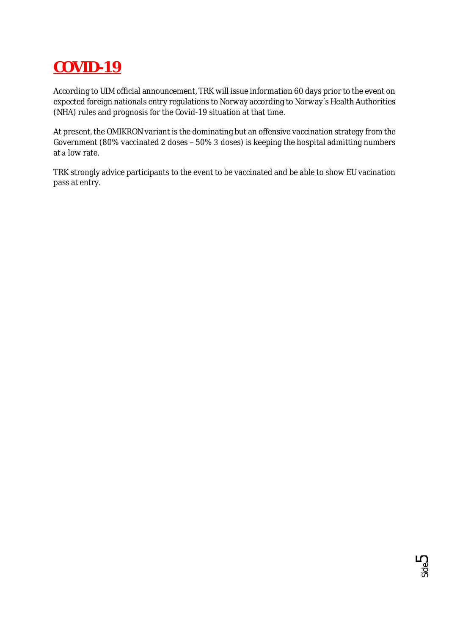### **COVID-19**

According to UIM official announcement, TRK will issue information 60 days prior to the event on expected foreign nationals entry regulations to Norway according to Norway`s Health Authorities (NHA) rules and prognosis for the Covid-19 situation at that time.

At present, the OMIKRON variant is the dominating but an offensive vaccination strategy from the Government (80% vaccinated 2 doses - 50% 3 doses) is keeping the hospital admitting numbers at a low rate.

TRK strongly advice participants to the event to be vaccinated and be able to show EU vacination pass at entry. 

Side5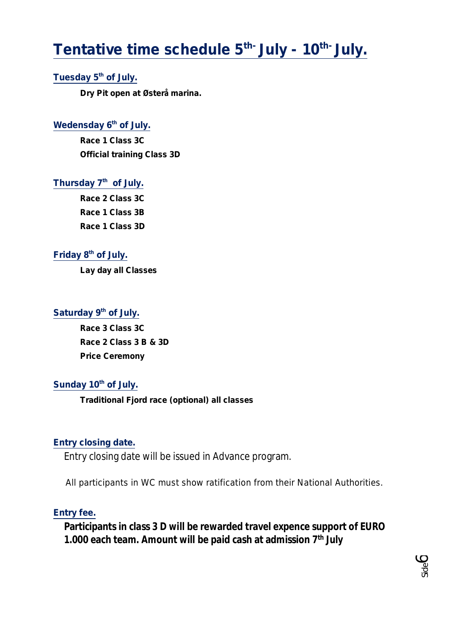## **Tentative time schedule 5th- July - 10th- July.**

#### **Tuesday 5th of July.**

**Dry Pit open at Østerå marina.**

#### Wedensday 6<sup>th</sup> of July.

**Race 1 Class 3C Official training Class 3D**

#### **Thursday 7th of July.**

**Race 2 Class 3C Race 1 Class 3B Race 1 Class 3D**

#### **Friday 8th of July.**

**Lay day all Classes**

#### **Saturday 9th of July.**

**Race 3 Class 3C Race 2 Class 3 B & 3D Price Ceremony**

#### **Sunday 10th of July.**

**Traditional Fjord race (optional) all classes**

#### **Entry closing date.**

Entry closing date will be issued in Advance program.

All participants in WC must show ratification from their National Authorities.

#### **Entry fee.**

**Participants in class 3 D will be rewarded travel expence support of EURO 1.000 each team. Amount will be paid cash at admission 7th July**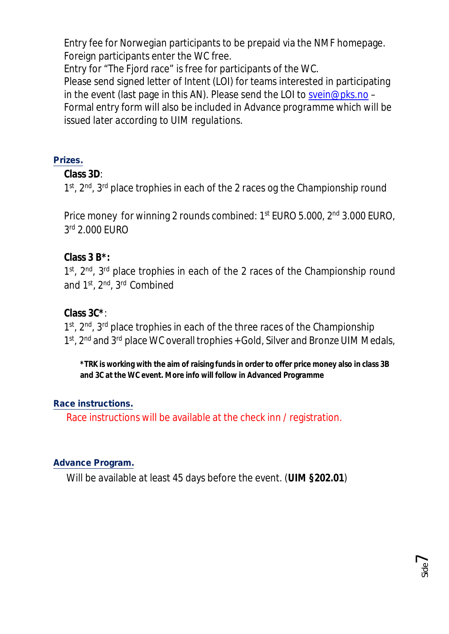Entry fee for Norwegian participants to be prepaid via the NMF homepage. Foreign participants enter the WC free.

Entry for "The Fjord race" is free for participants of the WC.

Please send signed letter of Intent (LOI) for teams interested in participating in the event (last page in this AN). Please send the LOI to svein@pks.no – Formal entry form will also be included in *Advance programme which will be issued later according to UIM regulations*.

#### **Prizes.**

**Class 3D**:

1<sup>st</sup>, 2<sup>nd</sup>, 3<sup>rd</sup> place trophies in each of the 2 races og the Championship round

Price money for winning 2 rounds combined: 1<sup>st</sup> EURO 5.000, 2<sup>nd</sup> 3.000 EURO, 3 rd 2.000 EURO

**Class 3 B\*:**

1<sup>st</sup>, 2<sup>nd</sup>, 3<sup>rd</sup> place trophies in each of the 2 races of the Championship round and 1st, 2nd, 3rd Combined

**Class 3C\***:

1<sup>st</sup>, 2<sup>nd</sup>, 3<sup>rd</sup> place trophies in each of the three races of the Championship 1<sup>st</sup>, 2<sup>nd</sup> and 3<sup>rd</sup> place WC overall trophies + Gold, Silver and Bronze UIM Medals,

**\*TRK is working with the aim of raising funds in order to offer price money also in class 3B and 3C at the WC event. More info will follow in Advanced Programme**

#### **Race instructions.**

Race instructions will be available at the check inn / registration.

#### **Advance Program.**

Will be available at least 45 days before the event. (**UIM §202.01**)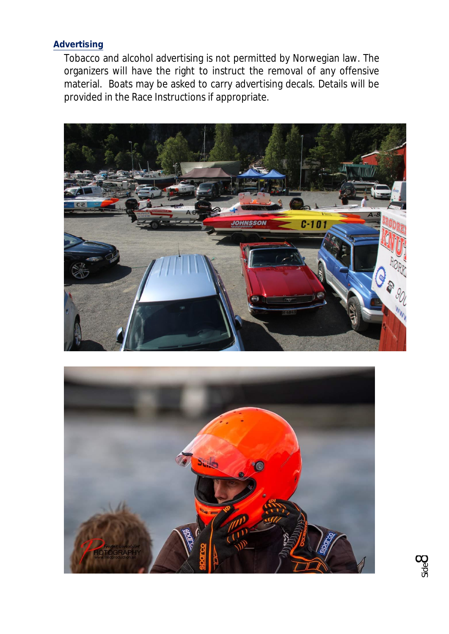#### **Advertising**

Tobacco and alcohol advertising is not permitted by Norwegian law. The organizers will have the right to instruct the removal of any offensive material. Boats may be asked to carry advertising decals. Details will be provided in the Race Instructions if appropriate.





Side8